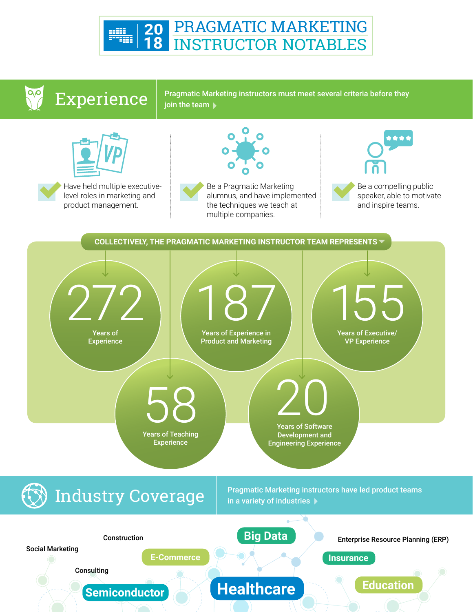

## Experience

Pragmatic Marketing instructors must meet several criteria before they join the team  $\blacktriangleright$ 



Have held multiple executivelevel roles in marketing and product management.



Be a Pragmatic Marketing alumnus, and have implemented the techniques we teach at multiple companies.



Be a compelling public speaker, able to motivate and inspire teams.

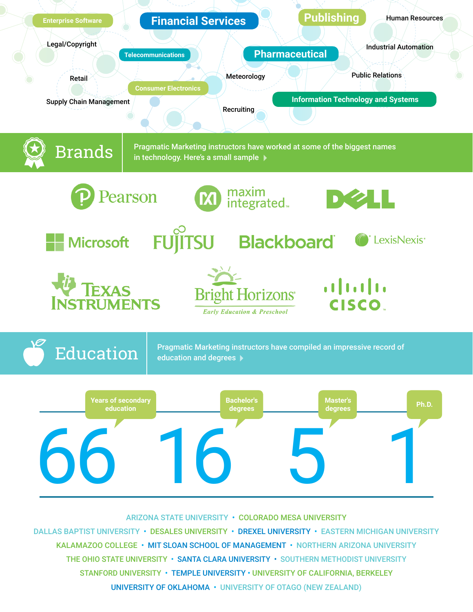

DALLAS BAPTIST UNIVERSITY · DESALES UNIVERSITY · DREXEL UNIVERSITY · EASTERN MICHIGAN UNIVERSITY KALAMAZOO COLLEGE • MIT SLOAN SCHOOL OF MANAGEMENT • NORTHERN ARIZONA UNIVERSITY THE OHIO STATE UNIVERSITY • SANTA CLARA UNIVERSITY • SOUTHERN METHODIST UNIVERSITY STANFORD UNIVERSITY • TEMPLE UNIVERSITY • UNIVERSITY OF CALIFORNIA, BERKELEY UNIVERSITY OF OKLAHOMA • UNIVERSITY OF OTAGO (NEW ZEALAND)